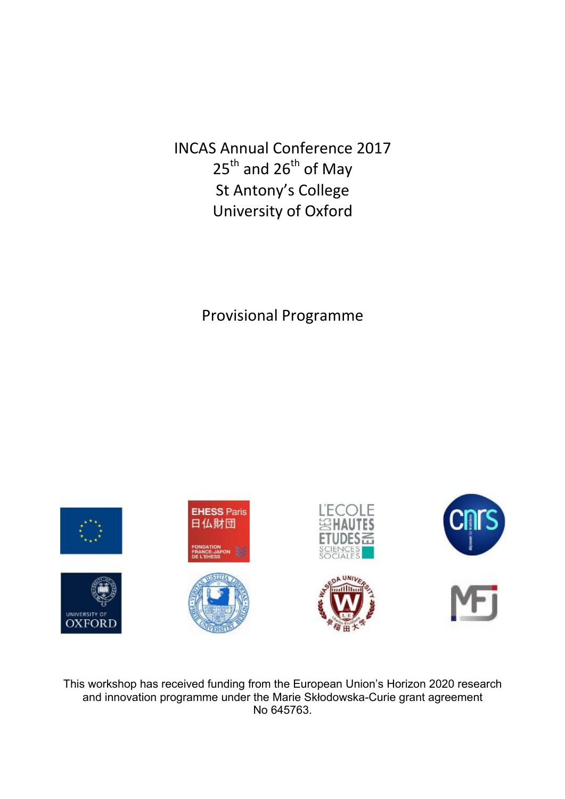INCAS Annual Conference 2017  $25<sup>th</sup>$  and  $26<sup>th</sup>$  of May St Antony's College University!of!Oxford

Provisional Programme



This workshop has received funding from the European Union's Horizon 2020 research and innovation programme under the Marie Skłodowska-Curie grant agreement No 645763.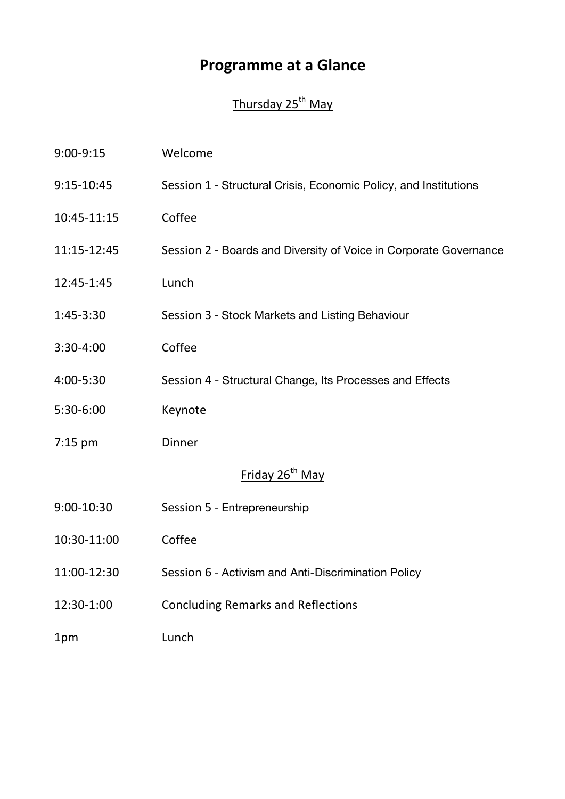# **Programme at a Glance**

## Thursday 25<sup>th</sup> May

| 9:00-9:15                   | Welcome                                                           |
|-----------------------------|-------------------------------------------------------------------|
| 9:15-10:45                  | Session 1 - Structural Crisis, Economic Policy, and Institutions  |
| 10:45-11:15                 | Coffee                                                            |
| 11:15-12:45                 | Session 2 - Boards and Diversity of Voice in Corporate Governance |
| 12:45-1:45                  | Lunch                                                             |
| 1:45-3:30                   | Session 3 - Stock Markets and Listing Behaviour                   |
| 3:30-4:00                   | Coffee                                                            |
| 4:00-5:30                   | Session 4 - Structural Change, Its Processes and Effects          |
| 5:30-6:00                   | Keynote                                                           |
| $7:15$ pm                   | <b>Dinner</b>                                                     |
| Friday 26 <sup>th</sup> May |                                                                   |
| 9:00-10:30                  | Session 5 - Entrepreneurship                                      |
| 10:30-11:00                 | Coffee                                                            |
| 11:00-12:30                 | Session 6 - Activism and Anti-Discrimination Policy               |
| 12:30-1:00                  | <b>Concluding Remarks and Reflections</b>                         |
| 1pm                         | Lunch                                                             |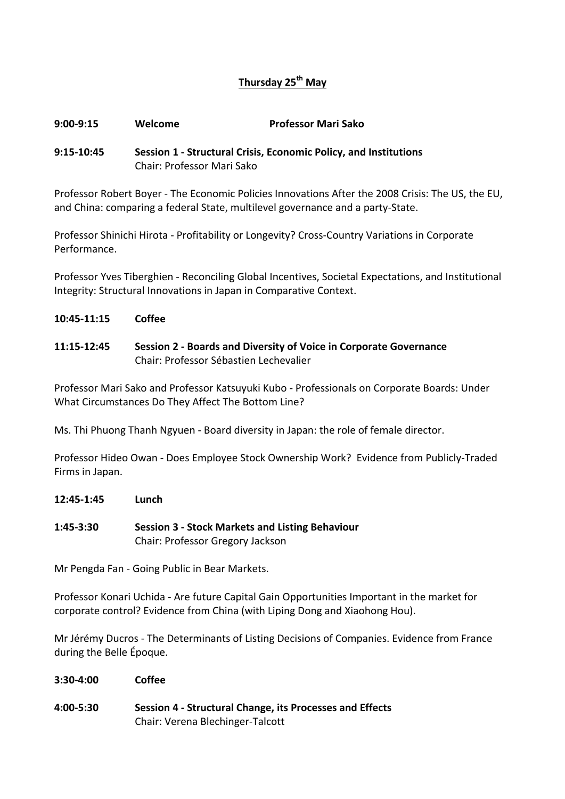## **Thursday(25th May**

#### **9:00:9:15 Welcome Professor(Mari(Sako**

### **9:15-10:45 Session 1 - Structural Crisis, Economic Policy, and Institutions** Chair: Professor!Mari!Sako

Professor Robert Boyer - The Economic Policies Innovations After the 2008 Crisis: The US, the EU, and China: comparing a federal State, multilevel governance and a party-State.

Professor Shinichi Hirota - Profitability or Longevity? Cross-Country Variations in Corporate Performance.

Professor Yves Tiberghien - Reconciling Global Incentives, Societal Expectations, and Institutional Integrity: Structural Innovations in Japan in Comparative Context.

#### **10:45:11:15( Coffee**

**11:15:12:45( Session(2(: Boards(and(Diversity(of(Voice(in(Corporate Governance** Chair: Professor Sébastien Lechevalier

Professor Mari Sako and Professor Katsuyuki Kubo - Professionals on Corporate Boards: Under What Circumstances Do They Affect The Bottom Line?

Ms. Thi Phuong Thanh Ngyuen - Board diversity in Japan: the role of female director.

Professor Hideo Owan - Does Employee Stock Ownership Work? Evidence from Publicly-Traded Firms in Japan.

**12:45:1:45( Lunch**

**1:45:3:30 Session(3(: Stock(Markets(and(Listing(Behaviour** Chair: Professor Gregory Jackson

Mr Pengda Fan - Going Public in Bear Markets.

Professor Konari Uchida - Are future Capital Gain Opportunities Important in the market for corporate control? Evidence from China (with Liping Dong and Xiaohong Hou).

Mr Jérémy Ducros - The Determinants of Listing Decisions of Companies. Evidence from France during the Belle Époque.

- **3:30:4:00 Coffee(**
- **4:00-5:30 Session 4 Structural Change, its Processes and Effects** Chair: Verena Blechinger-Talcott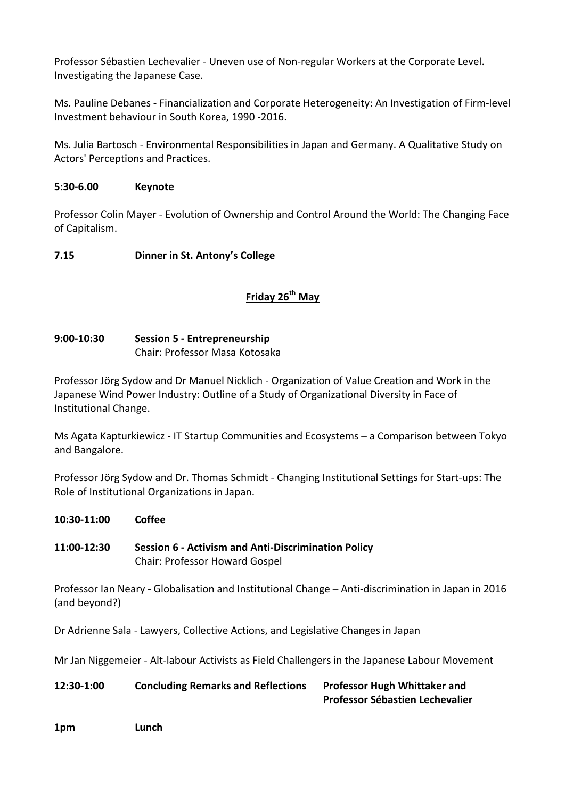Professor Sébastien Lechevalier - Uneven use of Non-regular Workers at the Corporate Level. Investigating the Japanese Case.

Ms. Pauline Debanes - Financialization and Corporate Heterogeneity: An Investigation of Firm-level Investment behaviour in South Korea, 1990 -2016.

Ms. Julia Bartosch - Environmental Responsibilities in Japan and Germany. A Qualitative Study on Actors' Perceptions and Practices.

## **5:30:6.00 Keynote**

Professor Colin Mayer - Evolution of Ownership and Control Around the World: The Changing Face of Capitalism.

## **7.15 Dinner in St. Antony's College**

## **Friday(26th May(**

## **9:00:10:30 Session(5(: Entrepreneurship** Chair: Professor Masa Kotosaka

Professor Jörg Sydow and Dr Manuel Nicklich - Organization of Value Creation and Work in the Japanese Wind Power Industry: Outline of a Study of Organizational Diversity in Face of Institutional Change.

Ms Agata Kapturkiewicz - IT Startup Communities and Ecosystems – a Comparison between Tokyo and Bangalore.

Professor Jörg Sydow and Dr. Thomas Schmidt - Changing Institutional Settings for Start-ups: The Role of Institutional Organizations in Japan.

**10:30:11:00 Coffee 11:00:12:30 Session(6(: Activism(and(Anti:Discrimination(Policy** Chair: Professor Howard Gospel Professor Ian Neary - Globalisation and Institutional Change – Anti-discrimination in Japan in 2016 (and beyond?) Dr Adrienne Sala - Lawyers, Collective Actions, and Legislative Changes in Japan Mr Jan Niggemeier - Alt-labour Activists as Field Challengers in the Japanese Labour Movement **12:30-1:00 Concluding Remarks and Reflections Professor Hugh Whittaker and Professor Sébastien Lechevalier** 

#### **1pm Lunch**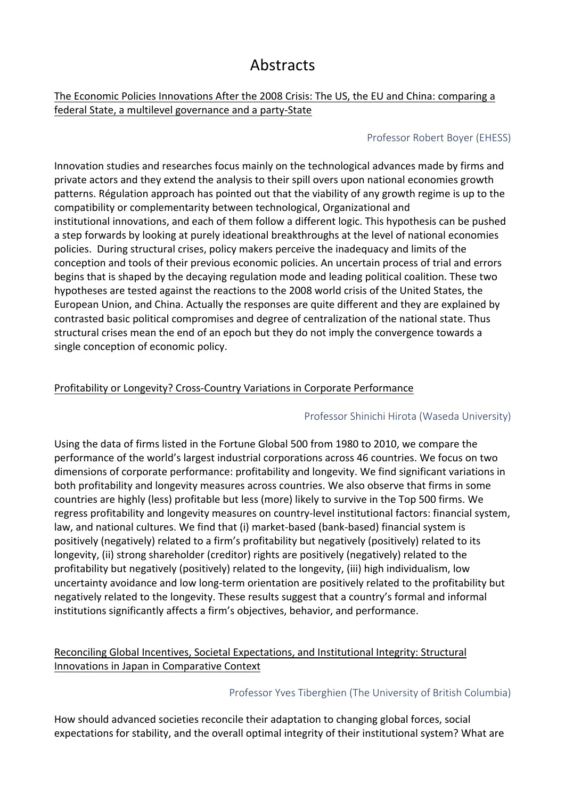## **Abstracts**

## The Economic Policies Innovations After the 2008 Crisis: The US, the EU and China: comparing a federal State, a multilevel governance and a party-State

## Professor Robert Boyer (EHESS)

Innovation studies and researches focus mainly on the technological advances made by firms and private actors and they extend the analysis to their spill overs upon national economies growth patterns. Régulation approach has pointed out that the viability of any growth regime is up to the compatibility or complementarity between technological, Organizational and institutional innovations, and each of them follow a different logic. This hypothesis can be pushed a step forwards by looking at purely ideational breakthroughs at the level of national economies policies. During structural crises, policy makers perceive the inadequacy and limits of the conception and tools of their previous economic policies. An uncertain process of trial and errors begins that is shaped by the decaying regulation mode and leading political coalition. These two hypotheses are tested against the reactions to the 2008 world crisis of the United States, the European Union, and China. Actually the responses are quite different and they are explained by contrasted basic political compromises and degree of centralization of the national state. Thus structural crises mean the end of an epoch but they do not imply the convergence towards a single conception of economic policy.

## Profitability or Longevity? Cross-Country Variations in Corporate Performance

## Professor Shinichi Hirota (Waseda University)

Using the data of firms listed in the Fortune Global 500 from 1980 to 2010, we compare the performance of the world's largest industrial corporations across 46 countries. We focus on two dimensions of corporate performance: profitability and longevity. We find significant variations in both profitability and longevity measures across countries. We also observe that firms in some countries are highly (less) profitable but less (more) likely to survive in the Top 500 firms. We regress profitability and longevity measures on country-level institutional factors: financial system, law, and national cultures. We find that (i) market-based (bank-based) financial system is positively (negatively) related to a firm's profitability but negatively (positively) related to its longevity, (ii) strong shareholder (creditor) rights are positively (negatively) related to the profitability but negatively (positively) related to the longevity, (iii) high individualism, low uncertainty avoidance and low long-term orientation are positively related to the profitability but negatively related to the longevity. These results suggest that a country's formal and informal institutions significantly affects a firm's objectives, behavior, and performance.

## Reconciling Global Incentives, Societal Expectations, and Institutional Integrity: Structural Innovations in Japan in Comparative Context

## Professor Yves Tiberghien (The University of British Columbia)

How should advanced societies reconcile their adaptation to changing global forces, social expectations for stability, and the overall optimal integrity of their institutional system? What are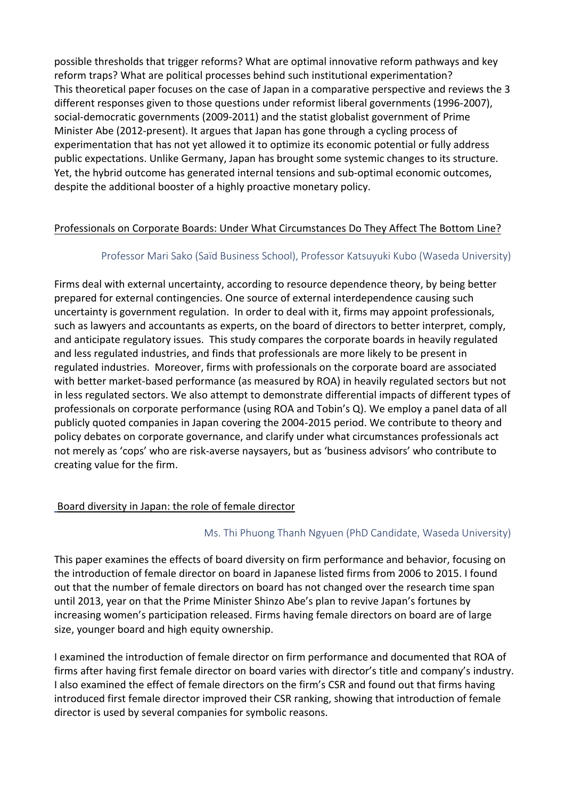possible thresholds that trigger reforms? What are optimal innovative reform pathways and key reform traps? What are political processes behind such institutional experimentation? This theoretical paper focuses on the case of Japan in a comparative perspective and reviews the 3 different responses given to those questions under reformist liberal governments (1996-2007), social-democratic governments (2009-2011) and the statist globalist government of Prime Minister Abe (2012-present). It argues that Japan has gone through a cycling process of experimentation that has not yet allowed it to optimize its economic potential or fully address public expectations. Unlike Germany, Japan has brought some systemic changes to its structure. Yet, the hybrid outcome has generated internal tensions and sub-optimal economic outcomes, despite the additional booster of a highly proactive monetary policy.

## Professionals on Corporate Boards: Under What Circumstances Do They Affect The Bottom Line?

## Professor Mari Sako (Saïd Business School), Professor Katsuyuki Kubo (Waseda University)

Firms deal with external uncertainty, according to resource dependence theory, by being better prepared for external contingencies. One source of external interdependence causing such uncertainty is government regulation. In order to deal with it, firms may appoint professionals, such as lawyers and accountants as experts, on the board of directors to better interpret, comply, and anticipate regulatory issues. This study compares the corporate boards in heavily regulated and less regulated industries, and finds that professionals are more likely to be present in regulated industries. Moreover, firms with professionals on the corporate board are associated with better market-based performance (as measured by ROA) in heavily regulated sectors but not in less regulated sectors. We also attempt to demonstrate differential impacts of different types of professionals on corporate performance (using ROA and Tobin's Q). We employ a panel data of all publicly quoted companies in Japan covering the 2004-2015 period. We contribute to theory and policy debates on corporate governance, and clarify under what circumstances professionals act not merely as 'cops' who are risk-averse naysayers, but as 'business advisors' who contribute to creating value for the firm.

## Board diversity in Japan: the role of female director

## Ms. Thi Phuong Thanh Ngyuen (PhD Candidate, Waseda University)

This paper examines the effects of board diversity on firm performance and behavior, focusing on the introduction of female director on board in Japanese listed firms from 2006 to 2015. I found out that the number of female directors on board has not changed over the research time span until 2013, year on that the Prime Minister Shinzo Abe's plan to revive Japan's fortunes by increasing women's participation released. Firms having female directors on board are of large size, younger board and high equity ownership.

I examined the introduction of female director on firm performance and documented that ROA of firms after having first female director on board varies with director's title and company's industry. I also examined the effect of female directors on the firm's CSR and found out that firms having introduced first female director improved their CSR ranking, showing that introduction of female director is used by several companies for symbolic reasons.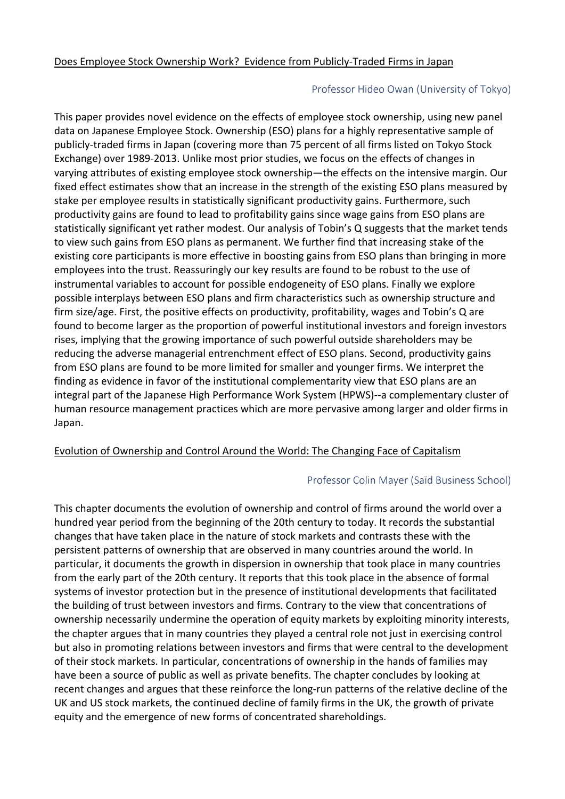## Professor Hideo Owan (University of Tokyo)

This paper provides novel evidence on the effects of employee stock ownership, using new panel data on Japanese Employee Stock. Ownership (ESO) plans for a highly representative sample of publicly-traded firms in Japan (covering more than 75 percent of all firms listed on Tokyo Stock Exchange) over 1989-2013. Unlike most prior studies, we focus on the effects of changes in varying attributes of existing employee stock ownership—the effects on the intensive margin. Our fixed effect estimates show that an increase in the strength of the existing ESO plans measured by stake per employee results in statistically significant productivity gains. Furthermore, such productivity gains are found to lead to profitability gains since wage gains from ESO plans are statistically significant yet rather modest. Our analysis of Tobin's Q suggests that the market tends to view such gains from ESO plans as permanent. We further find that increasing stake of the existing core participants is more effective in boosting gains from ESO plans than bringing in more employees into the trust. Reassuringly our key results are found to be robust to the use of instrumental variables to account for possible endogeneity of ESO plans. Finally we explore possible interplays between ESO plans and firm characteristics such as ownership structure and firm size/age. First, the positive effects on productivity, profitability, wages and Tobin's Q are found to become larger as the proportion of powerful institutional investors and foreign investors rises, implying that the growing importance of such powerful outside shareholders may be reducing the adverse managerial entrenchment effect of ESO plans. Second, productivity gains from ESO plans are found to be more limited for smaller and younger firms. We interpret the finding as evidence in favor of the institutional complementarity view that ESO plans are an integral part of the Japanese High Performance Work System (HPWS)--a complementary cluster of human resource management practices which are more pervasive among larger and older firms in Japan.

## Evolution of Ownership and Control Around the World: The Changing Face of Capitalism

## Professor Colin Mayer (Saïd Business School)

This chapter documents the evolution of ownership and control of firms around the world over a hundred year period from the beginning of the 20th century to today. It records the substantial changes that have taken place in the nature of stock markets and contrasts these with the persistent patterns of ownership that are observed in many countries around the world. In particular, it documents the growth in dispersion in ownership that took place in many countries from the early part of the 20th century. It reports that this took place in the absence of formal systems of investor protection but in the presence of institutional developments that facilitated the building of trust between investors and firms. Contrary to the view that concentrations of ownership necessarily undermine the operation of equity markets by exploiting minority interests, the chapter argues that in many countries they played a central role not just in exercising control but also in promoting relations between investors and firms that were central to the development of their stock markets. In particular, concentrations of ownership in the hands of families may have been a source of public as well as private benefits. The chapter concludes by looking at recent changes and argues that these reinforce the long-run patterns of the relative decline of the UK and US stock markets, the continued decline of family firms in the UK, the growth of private equity and the emergence of new forms of concentrated shareholdings.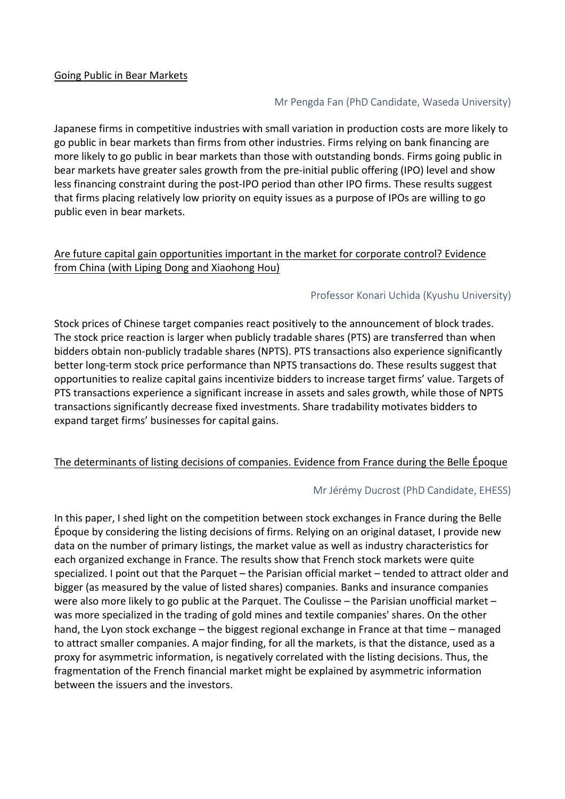#### Going Public in Bear Markets

#### Mr Pengda Fan (PhD Candidate, Waseda University)

Japanese firms in competitive industries with small variation in production costs are more likely to go public in bear markets than firms from other industries. Firms relying on bank financing are more likely to go public in bear markets than those with outstanding bonds. Firms going public in bear markets have greater sales growth from the pre-initial public offering (IPO) level and show less financing constraint during the post-IPO period than other IPO firms. These results suggest that firms placing relatively low priority on equity issues as a purpose of IPOs are willing to go public even in bear markets.

#### Are future capital gain opportunities important in the market for corporate control? Evidence from China (with Liping Dong and Xiaohong Hou)

#### Professor Konari Uchida (Kyushu University)

Stock prices of Chinese target companies react positively to the announcement of block trades. The stock price reaction is larger when publicly tradable shares (PTS) are transferred than when bidders obtain non-publicly tradable shares (NPTS). PTS transactions also experience significantly better long-term stock price performance than NPTS transactions do. These results suggest that opportunities to realize capital gains incentivize bidders to increase target firms' value. Targets of PTS transactions experience a significant increase in assets and sales growth, while those of NPTS transactions significantly decrease fixed investments. Share tradability motivates bidders to expand target firms' businesses for capital gains.

#### The determinants of listing decisions of companies. Evidence from France during the Belle Époque

#### Mr Jérémy Ducrost (PhD Candidate, EHESS)

In this paper, I shed light on the competition between stock exchanges in France during the Belle Époque by considering the listing decisions of firms. Relying on an original dataset, I provide new data on the number of primary listings, the market value as well as industry characteristics for each organized exchange in France. The results show that French stock markets were quite specialized. I point out that the Parquet – the Parisian official market – tended to attract older and bigger (as measured by the value of listed shares) companies. Banks and insurance companies were also more likely to go public at the Parquet. The Coulisse – the Parisian unofficial market – was more specialized in the trading of gold mines and textile companies' shares. On the other hand, the Lyon stock exchange – the biggest regional exchange in France at that time – managed to attract smaller companies. A major finding, for all the markets, is that the distance, used as a proxy for asymmetric information, is negatively correlated with the listing decisions. Thus, the fragmentation of the French financial market might be explained by asymmetric information between the issuers and the investors.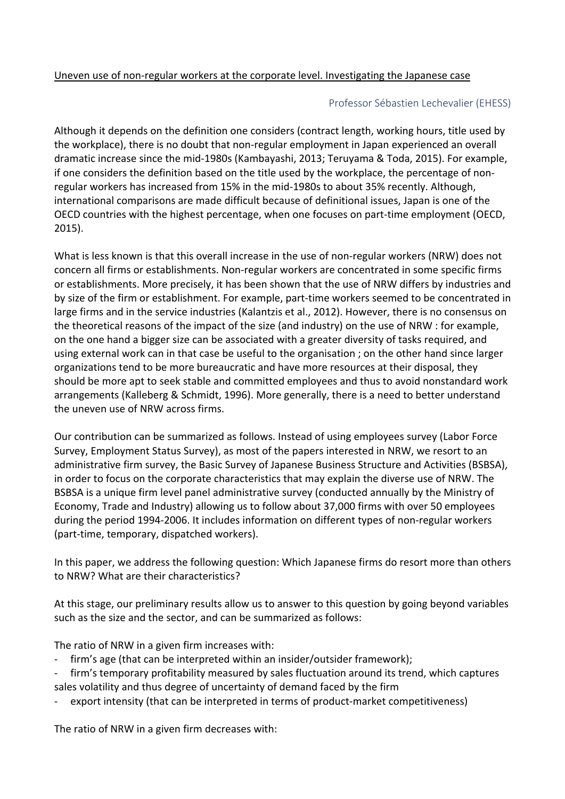## Professor Sébastien Lechevalier (EHESS)

Although it depends on the definition one considers (contract length, working hours, title used by the workplace), there is no doubt that non-regular employment in Japan experienced an overall dramatic increase since the mid-1980s (Kambayashi, 2013; Teruyama & Toda, 2015). For example, if one considers the definition based on the title used by the workplace, the percentage of nonregular workers has increased from 15% in the mid-1980s to about 35% recently. Although, international comparisons are made difficult because of definitional issues, Japan is one of the OECD countries with the highest percentage, when one focuses on part-time employment (OECD, 2015).

What is less known is that this overall increase in the use of non-regular workers (NRW) does not concern all firms or establishments. Non-regular workers are concentrated in some specific firms or establishments. More precisely, it has been shown that the use of NRW differs by industries and by size of the firm or establishment. For example, part-time workers seemed to be concentrated in large firms and in the service industries (Kalantzis et al., 2012). However, there is no consensus on the theoretical reasons of the impact of the size (and industry) on the use of NRW : for example, on the one hand a bigger size can be associated with a greater diversity of tasks required, and using external work can in that case be useful to the organisation ; on the other hand since larger organizations tend to be more bureaucratic and have more resources at their disposal, they should be more apt to seek stable and committed employees and thus to avoid nonstandard work arrangements (Kalleberg & Schmidt, 1996). More generally, there is a need to better understand the uneven use of NRW across firms.

Our contribution can be summarized as follows. Instead of using employees survey (Labor Force Survey, Employment Status Survey), as most of the papers interested in NRW, we resort to an administrative firm survey, the Basic Survey of Japanese Business Structure and Activities (BSBSA), in order to focus on the corporate characteristics that may explain the diverse use of NRW. The BSBSA is a unique firm level panel administrative survey (conducted annually by the Ministry of Economy, Trade and Industry) allowing us to follow about 37,000 firms with over 50 employees during the period 1994-2006. It includes information on different types of non-regular workers (part-time, temporary, dispatched workers).

In this paper, we address the following question: Which Japanese firms do resort more than others to NRW? What are their characteristics?

At this stage, our preliminary results allow us to answer to this question by going beyond variables such as the size and the sector, and can be summarized as follows:

The ratio of NRW in a given firm increases with:

- firm's age (that can be interpreted within an insider/outsider framework);
- firm's temporary profitability measured by sales fluctuation around its trend, which captures sales volatility and thus degree of uncertainty of demand faced by the firm
- export intensity (that can be interpreted in terms of product-market competitiveness)

The ratio of NRW in a given firm decreases with: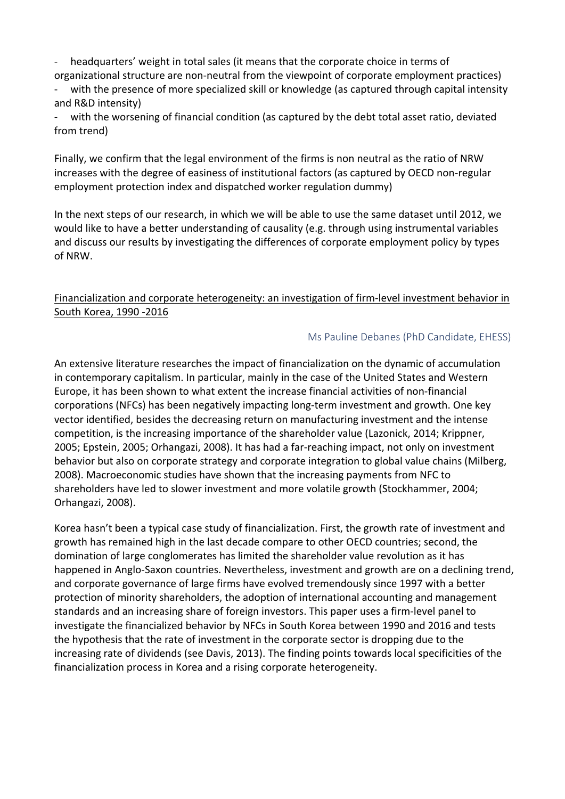headquarters' weight in total sales (it means that the corporate choice in terms of organizational structure are non-neutral from the viewpoint of corporate employment practices)

with the presence of more specialized skill or knowledge (as captured through capital intensity and R&D intensity)

- with the worsening of financial condition (as captured by the debt total asset ratio, deviated from trend)

Finally, we confirm that the legal environment of the firms is non neutral as the ratio of NRW increases with the degree of easiness of institutional factors (as captured by OECD non-regular employment protection index and dispatched worker regulation dummy)

In the next steps of our research, in which we will be able to use the same dataset until 2012, we would like to have a better understanding of causality (e.g. through using instrumental variables and discuss our results by investigating the differences of corporate employment policy by types of!NRW.

## Financialization and corporate heterogeneity: an investigation of firm-level investment behavior in South Korea, 1990 - 2016

## Ms Pauline Debanes (PhD Candidate, EHESS)

An extensive literature researches the impact of financialization on the dynamic of accumulation in contemporary capitalism. In particular, mainly in the case of the United States and Western Europe, it has been shown to what extent the increase financial activities of non-financial corporations (NFCs) has been negatively impacting long-term investment and growth. One key vector identified, besides the decreasing return on manufacturing investment and the intense competition, is the increasing importance of the shareholder value (Lazonick, 2014; Krippner, 2005; Epstein, 2005; Orhangazi, 2008). It has had a far-reaching impact, not only on investment behavior but also on corporate strategy and corporate integration to global value chains (Milberg, 2008). Macroeconomic studies have shown that the increasing payments from NFC to shareholders have led to slower investment and more volatile growth (Stockhammer, 2004; Orhangazi, 2008).

Korea hasn't been a typical case study of financialization. First, the growth rate of investment and growth has remained high in the last decade compare to other OECD countries; second, the domination of large conglomerates has limited the shareholder value revolution as it has happened in Anglo-Saxon countries. Nevertheless, investment and growth are on a declining trend, and corporate governance of large firms have evolved tremendously since 1997 with a better protection of minority shareholders, the adoption of international accounting and management standards and an increasing share of foreign investors. This paper uses a firm-level panel to investigate the financialized behavior by NFCs in South Korea between 1990 and 2016 and tests the hypothesis that the rate of investment in the corporate sector is dropping due to the increasing rate of dividends (see Davis, 2013). The finding points towards local specificities of the financialization process in Korea and a rising corporate heterogeneity.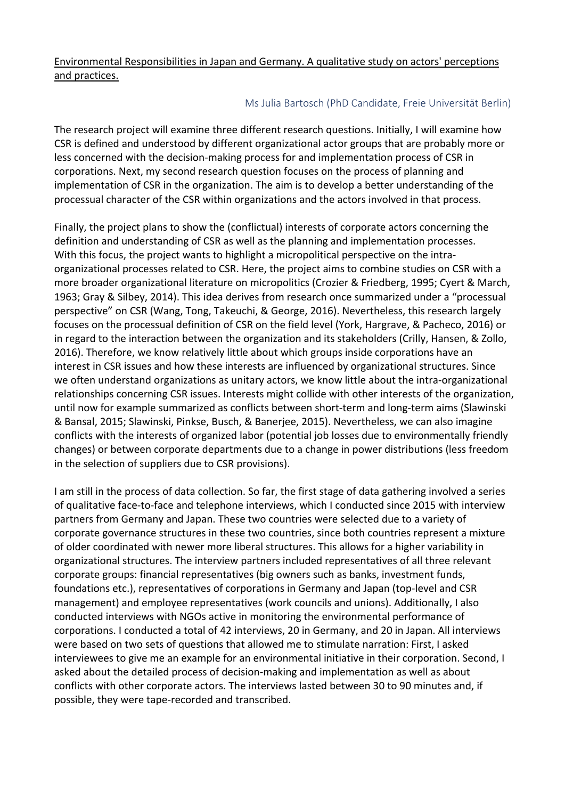## Environmental Responsibilities in Japan and Germany. A qualitative study on actors' perceptions and practices.

## Ms Julia Bartosch (PhD Candidate, Freie Universität Berlin)

The research project will examine three different research questions. Initially, I will examine how CSR is defined and understood by different organizational actor groups that are probably more or less concerned with the decision-making process for and implementation process of CSR in corporations. Next, my second research question focuses on the process of planning and implementation of CSR in the organization. The aim is to develop a better understanding of the processual character of the CSR within organizations and the actors involved in that process.

Finally, the project plans to show the (conflictual) interests of corporate actors concerning the definition and understanding of CSR as well as the planning and implementation processes. With this focus, the project wants to highlight a micropolitical perspective on the intraorganizational processes related to CSR. Here, the project aims to combine studies on CSR with a more broader organizational literature on micropolitics (Crozier & Friedberg, 1995; Cyert & March, 1963; Gray & Silbey, 2014). This idea derives from research once summarized under a "processual perspective" on CSR (Wang, Tong, Takeuchi, & George, 2016). Nevertheless, this research largely focuses on the processual definition of CSR on the field level (York, Hargrave, & Pacheco, 2016) or in regard to the interaction between the organization and its stakeholders (Crilly, Hansen, & Zollo, 2016). Therefore, we know relatively little about which groups inside corporations have an interest in CSR issues and how these interests are influenced by organizational structures. Since we often understand organizations as unitary actors, we know little about the intra-organizational relationships concerning CSR issues. Interests might collide with other interests of the organization, until now for example summarized as conflicts between short-term and long-term aims (Slawinski & Bansal, 2015; Slawinski, Pinkse, Busch, & Banerjee, 2015). Nevertheless, we can also imagine conflicts with the interests of organized labor (potential job losses due to environmentally friendly changes) or between corporate departments due to a change in power distributions (less freedom in the selection of suppliers due to CSR provisions).

I am still in the process of data collection. So far, the first stage of data gathering involved a series of qualitative face-to-face and telephone interviews, which I conducted since 2015 with interview partners from Germany and Japan. These two countries were selected due to a variety of corporate governance structures in these two countries, since both countries represent a mixture of older coordinated with newer more liberal structures. This allows for a higher variability in organizational structures. The interview partners included representatives of all three relevant corporate groups: financial representatives (big owners such as banks, investment funds, foundations etc.), representatives of corporations in Germany and Japan (top-level and CSR management) and employee representatives (work councils and unions). Additionally, I also conducted interviews with NGOs active in monitoring the environmental performance of corporations. I conducted a total of 42 interviews, 20 in Germany, and 20 in Japan. All interviews were based on two sets of questions that allowed me to stimulate narration: First, I asked interviewees to give me an example for an environmental initiative in their corporation. Second, I asked about the detailed process of decision-making and implementation as well as about conflicts with other corporate actors. The interviews lasted between 30 to 90 minutes and, if possible, they were tape-recorded and transcribed.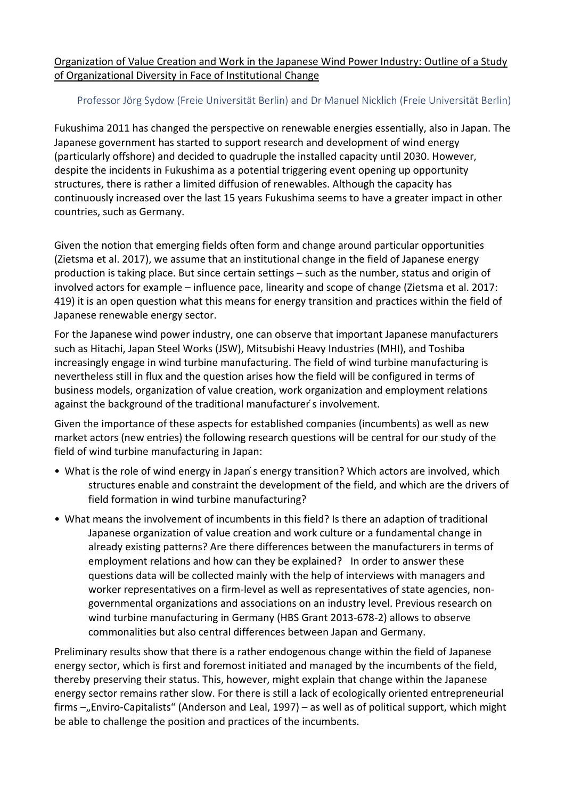Organization of Value Creation and Work in the Japanese Wind Power Industry: Outline of a Study of Organizational Diversity in Face of Institutional Change

## Professor Jörg Sydow (Freie Universität Berlin) and Dr Manuel Nicklich (Freie Universität Berlin)

Fukushima 2011 has changed the perspective on renewable energies essentially, also in Japan. The Japanese government has started to support research and development of wind energy (particularly offshore) and decided to quadruple the installed capacity until 2030. However, despite the incidents in Fukushima as a potential triggering event opening up opportunity structures, there is rather a limited diffusion of renewables. Although the capacity has continuously increased over the last 15 years Fukushima seems to have a greater impact in other countries, such as Germany.

Given the notion that emerging fields often form and change around particular opportunities (Zietsma et al. 2017), we assume that an institutional change in the field of Japanese energy production is taking place. But since certain settings – such as the number, status and origin of involved actors for example – influence pace, linearity and scope of change (Zietsma et al. 2017: 419) it is an open question what this means for energy transition and practices within the field of Japanese renewable energy sector.

For the Japanese wind power industry, one can observe that important Japanese manufacturers such as Hitachi, Japan Steel Works (JSW), Mitsubishi Heavy Industries (MHI), and Toshiba increasingly engage in wind turbine manufacturing. The field of wind turbine manufacturing is nevertheless still in flux and the question arises how the field will be configured in terms of business models, organization of value creation, work organization and employment relations against the background of the traditional manufacturer s involvement.

Given the importance of these aspects for established companies (incumbents) as well as new market actors (new entries) the following research questions will be central for our study of the field of wind turbine manufacturing in Japan:

- What is the role of wind energy in Japan's energy transition? Which actors are involved, which structures enable and constraint the development of the field, and which are the drivers of field formation in wind turbine manufacturing?
- What means the involvement of incumbents in this field? Is there an adaption of traditional Japanese organization of value creation and work culture or a fundamental change in already existing patterns? Are there differences between the manufacturers in terms of employment relations and how can they be explained? In order to answer these questions data will be collected mainly with the help of interviews with managers and worker representatives on a firm-level as well as representatives of state agencies, nongovernmental organizations and associations on an industry level. Previous research on wind turbine manufacturing in Germany (HBS Grant 2013-678-2) allows to observe commonalities but also central differences between Japan and Germany.

Preliminary results show that there is a rather endogenous change within the field of Japanese energy sector, which is first and foremost initiated and managed by the incumbents of the field, thereby preserving their status. This, however, might explain that change within the Japanese energy sector remains rather slow. For there is still a lack of ecologically oriented entrepreneurial firms  $-$  Enviro-Capitalists" (Anderson and Leal, 1997) – as well as of political support, which might be able to challenge the position and practices of the incumbents.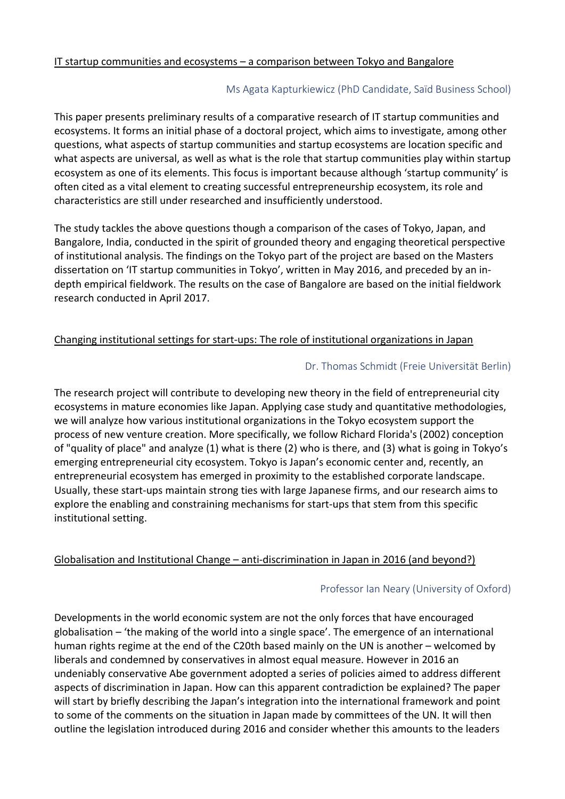## IT startup communities and ecosystems  $-$  a comparison between Tokyo and Bangalore

### Ms Agata Kapturkiewicz (PhD Candidate, Saïd Business School)

This paper presents preliminary results of a comparative research of IT startup communities and ecosystems. It forms an initial phase of a doctoral project, which aims to investigate, among other questions, what aspects of startup communities and startup ecosystems are location specific and what aspects are universal, as well as what is the role that startup communities play within startup ecosystem as one of its elements. This focus is important because although 'startup community' is often cited as a vital element to creating successful entrepreneurship ecosystem, its role and characteristics are still under researched and insufficiently understood.

The study tackles the above questions though a comparison of the cases of Tokyo, Japan, and Bangalore, India, conducted in the spirit of grounded theory and engaging theoretical perspective of institutional analysis. The findings on the Tokyo part of the project are based on the Masters dissertation on 'IT startup communities in Tokyo', written in May 2016, and preceded by an indepth empirical fieldwork. The results on the case of Bangalore are based on the initial fieldwork research conducted in April 2017.

#### Changing institutional settings for start-ups: The role of institutional organizations in Japan

#### Dr. Thomas Schmidt (Freie Universität Berlin)

The research project will contribute to developing new theory in the field of entrepreneurial city ecosystems in mature economies like Japan. Applying case study and quantitative methodologies, we will analyze how various institutional organizations in the Tokyo ecosystem support the process of new venture creation. More specifically, we follow Richard Florida's (2002) conception of "quality of place" and analyze (1) what is there (2) who is there, and (3) what is going in Tokyo's emerging entrepreneurial city ecosystem. Tokyo is Japan's economic center and, recently, an entrepreneurial ecosystem has emerged in proximity to the established corporate landscape. Usually, these start-ups maintain strong ties with large Japanese firms, and our research aims to explore the enabling and constraining mechanisms for start-ups that stem from this specific institutional setting.

#### Globalisation and Institutional Change – anti-discrimination in Japan in 2016 (and beyond?)

## Professor Ian Neary (University of Oxford)

Developments in the world economic system are not the only forces that have encouraged globalisation – 'the making of the world into a single space'. The emergence of an international human rights regime at the end of the C20th based mainly on the UN is another – welcomed by liberals and condemned by conservatives in almost equal measure. However in 2016 an undeniably conservative Abe government adopted a series of policies aimed to address different aspects of discrimination in Japan. How can this apparent contradiction be explained? The paper will start by briefly describing the Japan's integration into the international framework and point to some of the comments on the situation in Japan made by committees of the UN. It will then outline the legislation introduced during 2016 and consider whether this amounts to the leaders